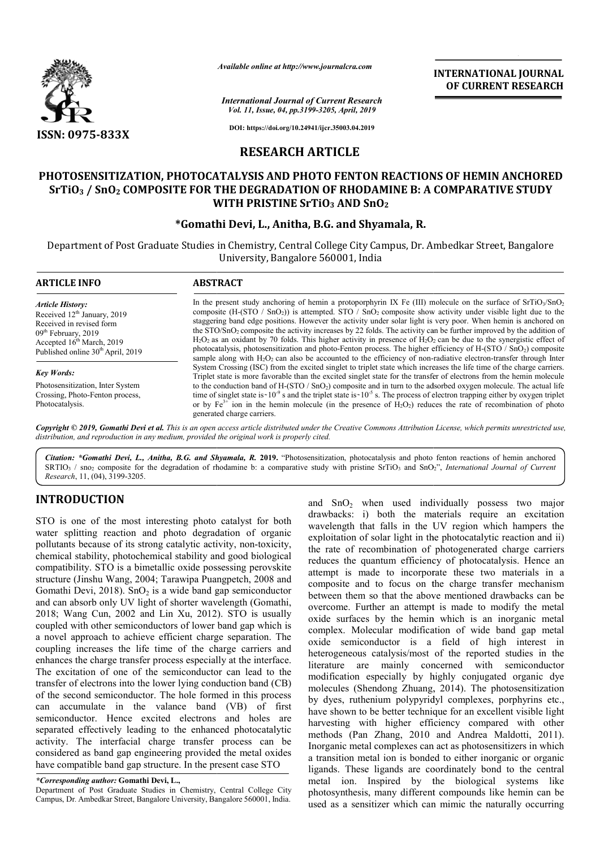

*Available online at http://www.journalcra.com*

**INTERNATIONAL JOURNAL OF CURRENT RESEARCH**

*International Journal of Current Research Vol. 11, Issue, 04, pp.3199-3205, April, 2019*

**DOI: https://doi.org/10.24941/ijcr.35003.04.2019**

# **RESEARCH ARTICLE**

# **PHOTOSENSITIZATION, PHOTOCATALYSIS AND PHOTO FENTON REACTIONS OF HEMIN ANCHORED SrTiO3 / SnO2 COMPOSITE FOR THE DEGRADATION OF RHODAMINE B: A COMPARATIVE STUDY PHOTOSENSITIZATION, PHOTOCATALYSIS AND PHOTO FOR THE WITH PRISTINE SrTiO SrTiO3 AND SnO2**

# **\*Gomathi Devi, L ., Anitha, B.G. and Shyamala, R.**

Department of Post Graduate Studies in Chemistry, Central College City Campus, Dr. Ambedkar Street, Bangalore University, Bangalore 560001, India

| <b>ABSTRACT</b>                                                                                                                                                                                                                                                                                                                                                                                                                                                                                                                                                                                                                                                                                                                                                                                                                                                                           |
|-------------------------------------------------------------------------------------------------------------------------------------------------------------------------------------------------------------------------------------------------------------------------------------------------------------------------------------------------------------------------------------------------------------------------------------------------------------------------------------------------------------------------------------------------------------------------------------------------------------------------------------------------------------------------------------------------------------------------------------------------------------------------------------------------------------------------------------------------------------------------------------------|
| In the present study anchoring of hemin a protoporphyrin IX Fe (III) molecule on the surface of SrTiO <sub>1</sub> /SnO <sub>2</sub><br>composite $(H-(STO / SnO2))$ is attempted. STO / SnO <sub>2</sub> composite show activity under visible light due to the<br>staggering band edge positions. However the activity under solar light is very poor. When hemin is anchored on<br>the STO/SnO <sub>2</sub> composite the activity increases by 22 folds. The activity can be further improved by the addition of<br>$H_2O_2$ as an oxidant by 70 folds. This higher activity in presence of $H_2O_2$ can be due to the synergistic effect of<br>photocatalysis, photosensitization and photo-Fenton process. The higher efficiency of H-(STO / SnO2) composite<br>sample along with $H_2O_2$ can also be accounted to the efficiency of non-radiative electron-transfer through Inter |
| System Crossing (ISC) from the excited singlet to triplet state which increases the life time of the charge carriers.<br>Triplet state is more favorable than the excited singlet state for the transfer of electrons from the hemin molecule                                                                                                                                                                                                                                                                                                                                                                                                                                                                                                                                                                                                                                             |
| to the conduction band of $H-(STO / SnO2)$ composite and in turn to the adsorbed oxygen molecule. The actual life<br>time of singlet state is $10^{-9}$ s and the triplet state is $10^{-5}$ s. The process of electron trapping either by oxygen triplet<br>or by $Fe^{3+}$ ion in the hemin molecule (in the presence of $H_2O_2$ ) reduces the rate of recombination of photo<br>generated charge carriers.                                                                                                                                                                                                                                                                                                                                                                                                                                                                            |
|                                                                                                                                                                                                                                                                                                                                                                                                                                                                                                                                                                                                                                                                                                                                                                                                                                                                                           |

Copyright © 2019, Gomathi Devi et al. This is an open access article distributed under the Creative Commons Attribution License, which permits unrestricted use, *distribution, and reproduction in any medium, provided the original work is properly cited.*

*Citation: \*Gomathi Devi, L., Anitha, B.G. and Shyamala, R.* **2019.** "Photosensitization, photocatalysis and photo fenton reactions of hemin anchored Citation: *\*Gomathi Devi, L., Anitha, B.G. and Shyamala, R. 2019. "Photosensitization, photocatalysis and photo fenton reactions of hemin anchored SRTIO<sub>3</sub> / sno<sub>2</sub> composite for the degradation of rhodamine b: a comparati Research*, 11, (04), 3199-3205.

# **INTRODUCTION**

STO is one of the most interesting photo catalyst for both water splitting reaction and photo degradation of organic pollutants because of its strong catalytic activity, non-toxicity, chemical stability, photochemical stability and good biological compatibility. STO is a bimetallic oxide possessing perovskite structure (Jinshu Wang, 2004; Tarawipa Puangpetch, 2008 and Gomathi Devi,  $2018$ ). SnO<sub>2</sub> is a wide band gap semiconductor and can absorb only UV light of shorter wavelength (Gomathi, 2018; Wang Cun, 2002 and Lin Xu, 2012). STO is usually coupled with other semiconductors of lower band gap which is structure (Jinshu Wang, 2004; Tarawipa Puangpetch, 2008 and Gomathi Devi, 2018). SnO<sub>2</sub> is a wide band gap semiconductor and can absorb only UV light of shorter wavelength (Gomathi, 2018; Wang Cun, 2002 and Lin Xu, 2012). coupling increases the life time of the charge carriers and enhances the charge transfer process especially at the interface. The excitation of one of the semiconductor can lead to the transfer of electrons into the lower lying conduction band (CB) of the second semiconductor. The hole formed in this process can accumulate in the valance band (VB) of first semiconductor. Hence excited electrons and holes are separated effectively leading to the enhanced photocatalytic activity. The interfacial charge transfer process can be considered as band gap engineering provided the metal oxides have compatible band gap structure. In the present case STO

*\*Corresponding author:* **Gomathi Devi, L.,**

Department of Post Graduate Studies in Chemistry, Central College City Campus, Dr. Ambedkar Street, Bangalore University, Bangalore 560001, India.

and  $SnO<sub>2</sub>$  when used individually possess two major drawbacks: i) both the materials require an excitation wavelength that falls in the UV region which hampers the exploitation of solar light in the photocatalytic reaction and ii) and  $SnO<sub>2</sub>$  when used individually possess two major drawbacks: i) both the materials require an excitation wavelength that falls in the UV region which hampers the exploitation of solar light in the photocatalytic re reduces the quantum efficiency of photocatalysis. Hence an attempt is made to incorporate these two materials in a composite and to focus on the charge transfer mechanism between them so that the above mentioned drawbacks can be overcome. Further an attempt is made to modify the metal oxide surfaces by the hemin which is an inorganic metal complex. Molecular modification of wide band gap metal oxide semiconductor is a field of high interest in heterogeneous catalysis/most of the reported studies in the literature are mainly concerned with semiconductor modification especially by highly conjugated organic dye molecules (Shendong Zhuang, 2014). The photosensitization by dyes, ruthenium polypyridyl complexes, porphyrins etc., have shown to be better technique for an excellent visible light harvesting with higher efficiency compared with other methods (Pan Zhang, 2010 and Andrea Maldotti, 2011). Inorganic metal complexes can act as photosensitizers in which a transition metal ion is bonded to either inorganic or organic ligands. These ligands are coordinately bond to the central metal ion. Inspired by the biological systems like photosynthesis, many different compounds like hemin can be used as a sensitizer which can mimic the naturally occurring reduces the quantum efficiency of photocatalysis. Hence an attempt is made to incorporate these two materials in a composite and to focus on the charge transfer mechanism between them so that the above mentioned drawbacks literature are mainly concerned with semiconductor modification especially by highly conjugated organic dye molecules (Shendong Zhuang, 2014). The photosensitization by dyes, ruthenium polypyridyl complexes, porphyrins etc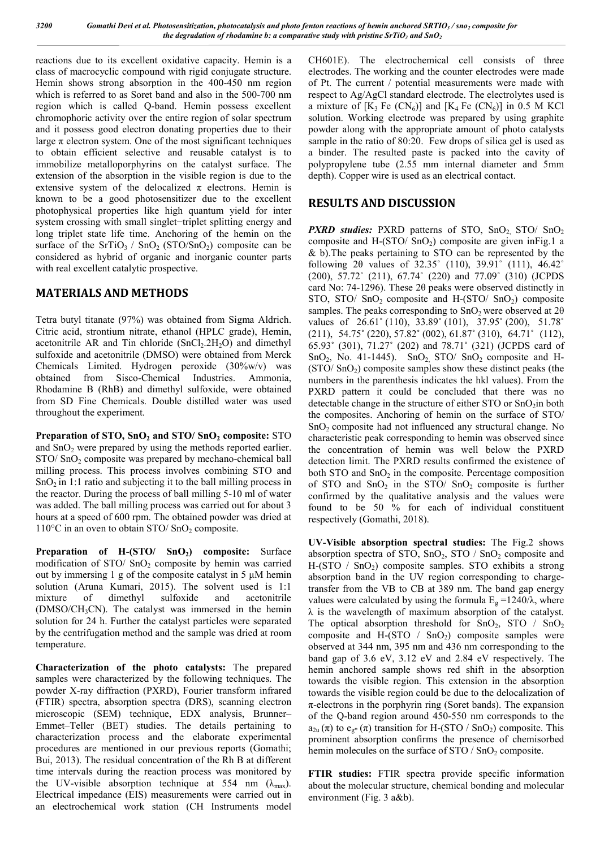reactions due to its excellent oxidative capacity. Hemin is a class of macrocyclic compound with rigid conjugate structure. Hemin shows strong absorption in the 400-450 nm region which is referred to as Soret band and also in the 500-700 nm region which is called Q-band. Hemin possess excellent chromophoric activity over the entire region of solar spectrum and it possess good electron donating properties due to their large  $\pi$  electron system. One of the most significant techniques to obtain efficient selective and reusable catalyst is to immobilize metalloporphyrins on the catalyst surface. The extension of the absorption in the visible region is due to the extensive system of the delocalized  $\pi$  electrons. Hemin is known to be a good photosensitizer due to the excellent photophysical properties like high quantum yield for inter system crossing with small singlet−triplet splitting energy and long triplet state life time. Anchoring of the hemin on the surface of the  $SrTiO<sub>3</sub> / SnO<sub>2</sub> (STO/SnO<sub>2</sub>)$  composite can be considered as hybrid of organic and inorganic counter parts with real excellent catalytic prospective.

### **MATERIALS AND METHODS**

Tetra butyl titanate (97%) was obtained from Sigma Aldrich. Citric acid, strontium nitrate, ethanol (HPLC grade), Hemin, acetonitrile AR and Tin chloride  $(SnCl<sub>2</sub>.2H<sub>2</sub>O)$  and dimethyl sulfoxide and acetonitrile (DMSO) were obtained from Merck Chemicals Limited. Hydrogen peroxide (30%w/v) was obtained from Sisco-Chemical Industries. Ammonia, Rhodamine B (RhB) and dimethyl sulfoxide, were obtained from SD Fine Chemicals. Double distilled water was used throughout the experiment.

**Preparation of STO, SnO2 and STO/ SnO2 composite:** STO and SnO<sub>2</sub> were prepared by using the methods reported earlier.  $STO/ \text{SnO}_2$  composite was prepared by mechano-chemical ball milling process. This process involves combining STO and  $SnO<sub>2</sub>$  in 1:1 ratio and subjecting it to the ball milling process in the reactor. During the process of ball milling 5-10 ml of water was added. The ball milling process was carried out for about 3 hours at a speed of 600 rpm. The obtained powder was dried at  $110^{\circ}$ C in an oven to obtain STO/SnO<sub>2</sub> composite.

**Preparation of H-(STO/ SnO<sub>2</sub>) composite:** Surface modification of  $STO/$  SnO<sub>2</sub> composite by hemin was carried out by immersing 1 g of the composite catalyst in 5 μM hemin solution (Aruna Kumari, 2015). The solvent used is 1:1 mixture of dimethyl sulfoxide and acetonitrile  $(DMSO/CH<sub>3</sub>CN)$ . The catalyst was immersed in the hemin solution for 24 h. Further the catalyst particles were separated by the centrifugation method and the sample was dried at room temperature.

**Characterization of the photo catalysts:** The prepared samples were characterized by the following techniques. The powder X-ray diffraction (PXRD), Fourier transform infrared (FTIR) spectra, absorption spectra (DRS), scanning electron microscopic (SEM) technique, EDX analysis, Brunner– Emmet–Teller (BET) studies. The details pertaining to characterization process and the elaborate experimental procedures are mentioned in our previous reports (Gomathi; Bui, 2013). The residual concentration of the Rh B at different time intervals during the reaction process was monitored by the UV-visible absorption technique at 554 nm  $(\lambda_{\text{max}})$ . Electrical impedance (EIS) measurements were carried out in an electrochemical work station (CH Instruments model

CH601E). The electrochemical cell consists of three electrodes. The working and the counter electrodes were made of Pt. The current / potential measurements were made with respect to Ag/AgCl standard electrode. The electrolytes used is a mixture of  $[K_3$  Fe  $(CN_6)$ ] and  $[K_4$  Fe  $(CN_6)$ ] in 0.5 M KCl solution. Working electrode was prepared by using graphite powder along with the appropriate amount of photo catalysts sample in the ratio of 80:20. Few drops of silica gel is used as a binder. The resulted paste is packed into the cavity of polypropylene tube (2.55 mm internal diameter and 5mm depth). Copper wire is used as an electrical contact.

### **RESULTS AND DISCUSSION**

*PXRD studies:* PXRD patterns of STO,  $SnO_2$  STO/ $SnO_2$ composite and H-(STO/ $SnO<sub>2</sub>$ ) composite are given in Fig. 1 a & b).The peaks pertaining to STO can be represented by the following 2θ values of 32.35˚ (110), 39.91˚ (111), 46.42˚ (200), 57.72˚ (211), 67.74˚ (220) and 77.09˚ (310) (JCPDS card No: 74-1296). These 2θ peaks were observed distinctly in STO, STO/ SnO<sub>2</sub> composite and H- $(STO/ SnO<sub>2</sub>)$  composite samples. The peaks corresponding to  $SnO<sub>2</sub>$  were observed at 2 $\theta$ values of 26.61° (110), 33.89° (101), 37.95° (200), 51.78° (211), 54.75˚ (220), 57.82˚ (002), 61.87˚ (310), 64.71˚ (112), 65.93˚ (301), 71.27˚ (202) and 78.71˚ (321) (JCPDS card of SnO<sub>2</sub>, No. 41-1445). SnO<sub>2</sub>, STO/ SnO<sub>2</sub> composite and H-(STO/ SnO2) composite samples show these distinct peaks (the numbers in the parenthesis indicates the hkl values). From the PXRD pattern it could be concluded that there was no detectable change in the structure of either  $STO$  or  $SnO<sub>2</sub>$  in both the composites. Anchoring of hemin on the surface of STO/ SnO<sub>2</sub> composite had not influenced any structural change. No characteristic peak corresponding to hemin was observed since the concentration of hemin was well below the PXRD detection limit. The PXRD results confirmed the existence of both STO and  $SnO<sub>2</sub>$  in the composite. Percentage composition of STO and  $SnO<sub>2</sub>$  in the STO/  $SnO<sub>2</sub>$  composite is further confirmed by the qualitative analysis and the values were found to be 50 % for each of individual constituent respectively (Gomathi, 2018).

**UV-Visible absorption spectral studies:** The Fig.2 shows absorption spectra of  $STO$ ,  $SnO<sub>2</sub>$ ,  $STO$  /  $SnO<sub>2</sub>$  composite and H-(STO  $/$  SnO<sub>2</sub>) composite samples. STO exhibits a strong absorption band in the UV region corresponding to chargetransfer from the VB to CB at 389 nm. The band gap energy values were calculated by using the formula  $E_g = 1240/\lambda$ , where  $\lambda$  is the wavelength of maximum absorption of the catalyst. The optical absorption threshold for  $SnO<sub>2</sub>$ ,  $STO$  /  $SnO<sub>2</sub>$ composite and H- $(STO / SnO<sub>2</sub>)$  composite samples were observed at 344 nm, 395 nm and 436 nm corresponding to the band gap of 3.6 eV, 3.12 eV and 2.84 eV respectively. The hemin anchored sample shows red shift in the absorption towards the visible region. This extension in the absorption towards the visible region could be due to the delocalization of  $\pi$ -electrons in the porphyrin ring (Soret bands). The expansion of the Q-band region around 450-550 nm corresponds to the  $a_{2u}(\pi)$  to  $e_{g*}(\pi)$  transition for H-(STO / SnO<sub>2</sub>) composite. This prominent absorption confirms the presence of chemisorbed hemin molecules on the surface of  $STO / SnO<sub>2</sub>$  composite.

**FTIR studies:** FTIR spectra provide specific information about the molecular structure, chemical bonding and molecular environment (Fig. 3 a&b).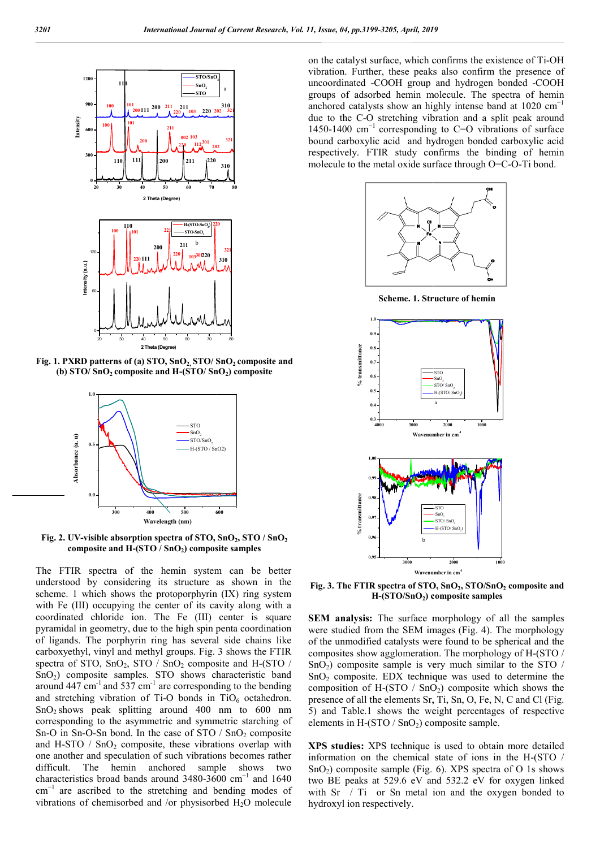

**Fig. 1. PXRD patterns of (a) STO, SnO2, STO/ SnO SnO2 composite and**  (b) STO/ SnO<sub>2</sub> composite and H-(STO/ SnO<sub>2</sub>) composite



Fig. 2. UV-visible absorption spectra of STO, SnO<sub>2</sub>, STO / SnO<sub>2</sub> **composite and H-(STO / SnO2) composite samples )** 

The FTIR spectra of the hemin system can be better understood by considering its structure as shown in the scheme. 1 which shows the protoporphyrin (IX) ring system with Fe (III) occupying the center of its cavity along with a coordinated chloride ion. The Fe (III) center is square pyramidal in geometry, due to the high spin penta coordination of ligands. The porphyrin ring has several side chains like carboxyethyl, vinyl and methyl groups. Fig. 3 shows the FTIR spectra of STO,  $SnO<sub>2</sub>$ , STO /  $SnO<sub>2</sub>$  composite and H-(STO / SnO2) composite samples. STO shows characteristic band around 447 cm<sup>-1</sup> and 537 cm<sup>-1</sup> are corresponding to the bending and stretching vibration of Ti-O bonds in  $TiO_6$  octahedron.  $SnO<sub>2</sub> shows peak splitting around 400 nm to 600 nm$ corresponding to the asymmetric and symmetric starching of Sn-O in Sn-O-Sn bond. In the case of  $STO / SnO<sub>2</sub>$  composite and H-STO  $/$  SnO<sub>2</sub> composite, these vibrations overlap with one another and speculation of such vibrations becomes rather difficult. The hemin anchored sample shows two characteristics broad bands around 3480-3600  $cm^{-1}$  and 1640 cm−1 are ascribed to the stretching and bending modes of vibrations of chemisorbed and /or physisorbed  $H_2O$  molecule

on the catalyst surface, which confirms the existence of Ti-OH vibration. Further, these peaks also confirm the presence of uncoordinated -COOH group and hydrogen bonded -COOH groups of adsorbed hemin molecule. The spectra of hemin groups of adsorbed hemin molecule. The spectra of hemin anchored catalysts show an highly intense band at  $1020 \text{ cm}^{-1}$ due to the C-O stretching vibration and a split peak around 1450-1400 cm−1 corresponding to C=O vibrations of surface bound carboxylic acid and hydrogen bonded carboxylic acid respectively. FTIR study confirms the binding of hemin molecule to the metal oxide surface through O=C-O-Ti bond. due to the C-O stretching vibration and a split peak aroun 1450-1400 cm<sup>-1</sup> corresponding to C=O vibrations of surface bound carboxylic acid and hydrogen bonded carboxylic acides respectively. FTIR study confirms the bind



**Scheme. 1. Structure of hemin**



**Fig. 3. The FTIR spectra of STO, SnO SnO2, STO/SnO2 composite and H-(STO/SnO2) composite samples ) composite** 

**SEM analysis:** The surface morphology of all the samples **SEM analysis:** The surface morphology of all the samples were studied from the SEM images (Fig. 4). The morphology of the unmodified catalysts were found to be spherical and the of the unmodified catalysts were found to be spherical and the composites show agglomeration. The morphology of H-(STO /  $SnO<sub>2</sub>$ ) composite sample is very much similar to the STO / SnO2 composite. EDX technique was used to determine the  $SnO<sub>2</sub>$  composite. EDX technique was used to determine the composition of H-(STO /  $SnO<sub>2</sub>$ ) composite which shows the presence of all the elements Sr, Ti, Sn, O, Fe, N, C and Cl (Fig. 5) and Table.1 shows the weight percentages of respective elements in H- $(STO / SnO<sub>2</sub>)$  composite sample. 5) and Table.1 shows the weight percentages of respective elements in H-(STO  $/$  SnO<sub>2</sub>) composite sample.

**XPS studies:** XPS technique is used to obtain more detailed XPS studies: XPS technique is used to obtain more detailed information on the chemical state of ions in the H-(STO /  $SnO<sub>2</sub>$ ) composite sample (Fig. 6). XPS spectra of O 1s shows two BE peaks at 529.6 eV and 532.2 eV for oxygen linked with Sr / Ti or Sn metal ion and the oxygen bonded to hydroxyl ion respectively.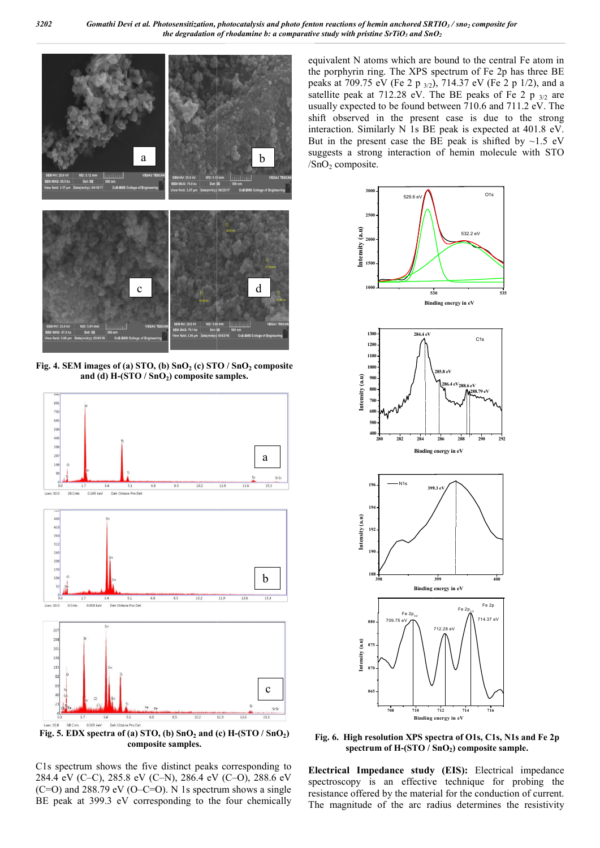

**Fig. 4. SEM images of (a) STO, (b)**  $SnO<sub>2</sub>$  **(c) STO /**  $SnO<sub>2</sub>$  **composite** and (d) H-(STO / SnO<sub>2</sub>) composite samples.



Fig. 5. EDX spectra of (a) STO, (b)  $SnO<sub>2</sub>$  and (c)  $H-(STO / SnO<sub>2</sub>)$ **composite samples.**

C1s spectrum shows the five distinct peaks corresponding to 284.4 eV (C–C), 285.8 eV (C–N), 286.4 eV (C–O), 288.6 eV  $(C=O)$  and 288.79 eV  $(O-C=O)$ . N 1s spectrum shows a single BE peak at 399.3 eV corresponding to the four chemically

equivalent N atoms which are bound to the central Fe atom in the porphyrin ring. The XPS spectrum of Fe 2p has three BE equivalent N atoms which are bound to the central Fe atom in the porphyrin ring. The XPS spectrum of Fe 2p has three BE peaks at 709.75 eV (Fe 2 p  $_{3/2}$ ), 714.37 eV (Fe 2 p 1/2), and a satellite peak at 712.28 eV. The BE peaks of Fe 2  $p_{3/2}$  are usually expected to be found between 710.6 and 711.2 eV. The shift observed in the present case is due to the strong interaction. Similarly N 1s BE peak is expected at 401.8 eV. But in the present case the BE peak is shifted by  $\sim$ 1.5 eV suggests a strong interaction of hemin molecule with STO  $/SnO<sub>2</sub>$  composite. y expected to be found between 710.6 and 711.2 eV. The observed in the present case is due to the strong ction. Similarly N 1s BE peak is expected at 401.8 eV. <br>In the present case the BE peak is shifted by ~1.5 eV



Fig. 6. High resolution XPS spectra of O1s, C1s, N1s and Fe 2p spectrum of H-(STO / SnO<sub>2</sub>) composite sample.

**Electrical Impedance study (EIS):**  Electrical impedance spectroscopy is an effective technique for probing the resistance offered by the material for the conduction of current. The magnitude of the arc radius determines the resistivity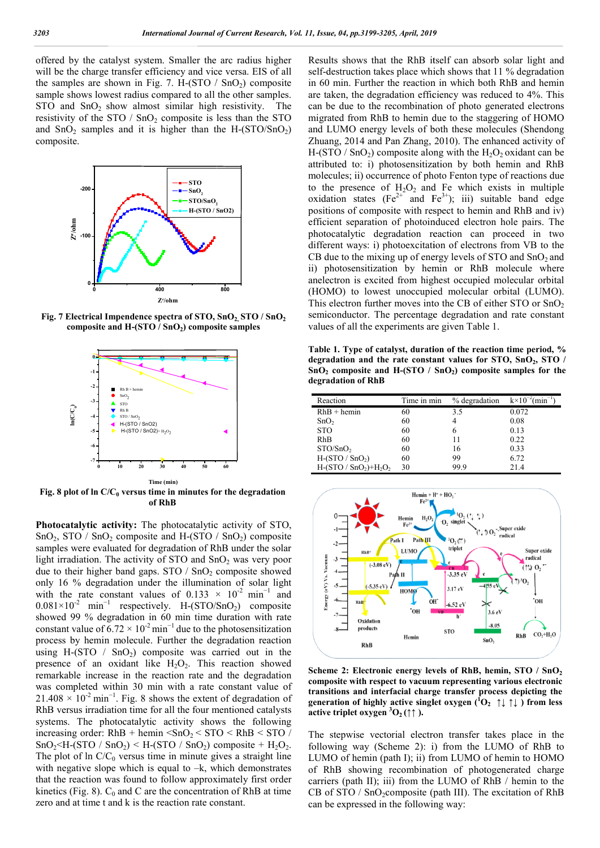offered by the catalyst system. Smaller the arc radius higher will be the charge transfer efficiency and vice versa. EIS of all the samples are shown in Fig. 7. H- $(TO / SnO<sub>2</sub>)$  composite sample shows lowest radius compared to all the other samples. STO and  $SnO<sub>2</sub>$  show almost similar high resistivity. The resistivity of the  $STO / SnO<sub>2</sub>$  composite is less than the  $STO$ and  $SnO<sub>2</sub>$  samples and it is higher than the H- $(STO/SnO<sub>2</sub>)$ composite.



**Fig. 7 Electrical Impendence spectra of STO, SnO composite and H-(STO / SnO2) composite samples**



**Fig. 8 plot of ln**  $C/C_0$  versus time in minutes for the degradation **of RhB**

**Photocatalytic activity:** The photocatalytic activity of STO,  $SnO<sub>2</sub>$ , STO / SnO<sub>2</sub> composite and H-(STO / SnO<sub>2</sub>) composite samples were evaluated for degradation of RhB under the solar light irradiation. The activity of STO and  $SnO<sub>2</sub>$  was very poor due to their higher band gaps.  $STO / SnO<sub>2</sub>$  composite showed only 16 % degradation under the illumination of solar light with the rate constant values of  $0.133 \times 10^{-2}$  min<sup>-1</sup> and  $0.081 \times 10^{-2}$  min<sup>-1</sup> respectively. H-(STO/SnO<sub>2</sub>) composite showed 99 % degradation in 60 min time duration with rate constant value of  $6.72 \times 10^{-2}$  min<sup>-1</sup> due to the photosensitization process by hemin molecule. Further the degradation reaction using H-(STO / SnO<sub>2</sub>) composite was carried out in the presence of an oxidant like  $H_2O_2$ . This reaction showed presence of an oxidant like  $H_2O_2$ . This reaction showed remarkable increase in the reaction rate and the degradation was completed within 30 min with a rate constant value of  $21.408 \times 10^{-2}$  min<sup>-1</sup>. Fig. 8 shows the extent of degradation of RhB versus irradiation time for all the four mentioned catalysts systems. The photocatalytic activity shows the following increasing order:  $RhB + hemin < SnO_2 < STO < RhB < STO$  /  $SnO_2 \leq H-(STO / SnO_2) \leq H-(STO / SnO_2)$  composite +  $H_2O_2$ . The plot of  $\ln C/C_0$  versus time in minute gives a straight line with negative slope which is equal to  $-k$ , which demonstrates with negative slope which is equal to  $-k$ , which demonstrates that the reaction was found to follow approximately first order kinetics (Fig. 8).  $C_0$  and C are the concentration of RhB at time zero and at time t and k is the reaction rate constant.

Results shows that the RhB itself can absorb solar light and self-destruction takes place which shows that 11 % degradation in 60 min. Further the reaction in which both RhB and hemin are taken, the degradation efficiency was reduced to 4%. This are taken, the degradation efficiency was reduced to 4%. This can be due to the recombination of photo generated electrons migrated from RhB to hemin due to the staggering of HOMO migrated from RhB to hemin due to the staggering of HOMO and LUMO energy levels of both these molecules (Shendong Zhuang, 2014 and Pan Zhang, 2010). The enhanced activity of  $H$ -(STO / SnO<sub>2</sub>) composite along with the  $H_2O_2$  oxidant can be attributed to: i) photosensitization by both hemin and RhB molecules; ii) occurrence of photo Fenton type of reactions due to the presence of  $H_2O_2$  and Fe which exists in multiple attributed to: i) photosensitization by both hemin and RhB molecules; ii) occurrence of photo Fenton type of reactions due to the presence of  $H_2O_2$  and Fe which exists in multiple oxidation states (Fe<sup>2+</sup> and Fe<sup>3+</sup>); positions of composite with respect to hemin and RhB and iv) efficient separation of photoinduced electron hole pairs. The photocatalytic degradation reaction can different ways: i) photoexcitation of electrons from VB to the different ways: i) photoexcitation of electrons from VB to the CB due to the mixing up of energy levels of STO and  $SnO<sub>2</sub>$  and ii) photosensitization by hemin or RhB molecule where ii) photosensitization by hemin or RhB molecule where anelectron is excited from highest occupied molecular orbital (HOMO) to lowest unoccupied molecular orbital (LUMO). (HOMO) to lowest unoccupied molecular orbital (LUMO).<br>This electron further moves into the CB of either STO or  $SnO<sub>2</sub>$ semiconductor. The percentage degradation and rate constant values of all the experiments are given Table 1. values of all the experiments are given Table alts shows that the RhB itself can absorb solar light and destruction takes place which shows that 11 % degradation 0 min. Further the reaction in which both RhB and hemin of composite with respect to hemin and RhB and iv)<br>separation of photoinduced electron hole pairs. The<br>llytic degradation reaction can proceed in two 3205, *April, 2019*<br>
at the RhB itself can<br>
at the RhB itself can<br>
hexes place which shows<br>
pradation efficiency was praction in which<br>
pradation efficiency was precombination of phB to hemin due to the<br>
proposite along 2

**Table 1. Type of catalyst, duration of the reaction time period, %**  Table 1. Type of catalyst, duration of the reaction time period, % degradation and the rate constant values for STO, SnO<sub>2</sub>, STO /  $SnO<sub>2</sub>$  composite and H-(STO /  $SnO<sub>2</sub>$ ) composite samples for the **degradation of RhB**

| Reaction              | Time in min | % degradation | $k \times 10^{-2}$ (min <sup>-1</sup> ) |
|-----------------------|-------------|---------------|-----------------------------------------|
| $RhB + hemin$         | 60          | 3.5           | 0.072                                   |
| SnO <sub>2</sub>      | 60          |               | 0.08                                    |
| <b>STO</b>            | 60          |               | 0.13                                    |
| RhB                   | 60          | 11            | 0.22                                    |
| STO/SnO <sub>2</sub>  | 60          | 16            | 0.33                                    |
| $H-(STO / SnO2)$      | 60          | 99            | 6.72                                    |
| $H-(STO / SnO2)+H2O2$ | 30          | 99 9          | 21.4                                    |



Scheme 2: Electronic energy levels of RhB, hemin, STO / SnO<sub>2</sub> **composite with respect to vacuum representing various electronic transitions and interfacial charge transfer process depicting the**  transitions and interfacial charge transfer process depicting the generation of highly active singlet oxygen  $(^{1}O_{2} \uparrow \downarrow \uparrow \downarrow)$  from less **active triplet oxygen**  ${}^3O_2$  **(** $\uparrow \uparrow$ **).** 

The stepwise vectorial electron transfer takes place in the following way (Scheme 2): i) from the LUMO of RhB to LUMO of hemin (path I); ii) from LUMO of hemin to HOMO of RhB showing recombination of photogenerated charge carriers (path II); iii) from the LUMO of RhB / hemin to the CB of STO /  $SnO_2$ composite (path III). The excitation of RhB can be expressed in the following way: way (Scheme 2): i) from the LUMO of RhB to<br>hemin (path I); ii) from LUMO of hemin to HOMO<br>howing recombination of photogenerated charge<br>ath II); iii) from the LUMO of RhB / hemin to the<br> $\frac{1}{SnO_2}$ composite (path III). T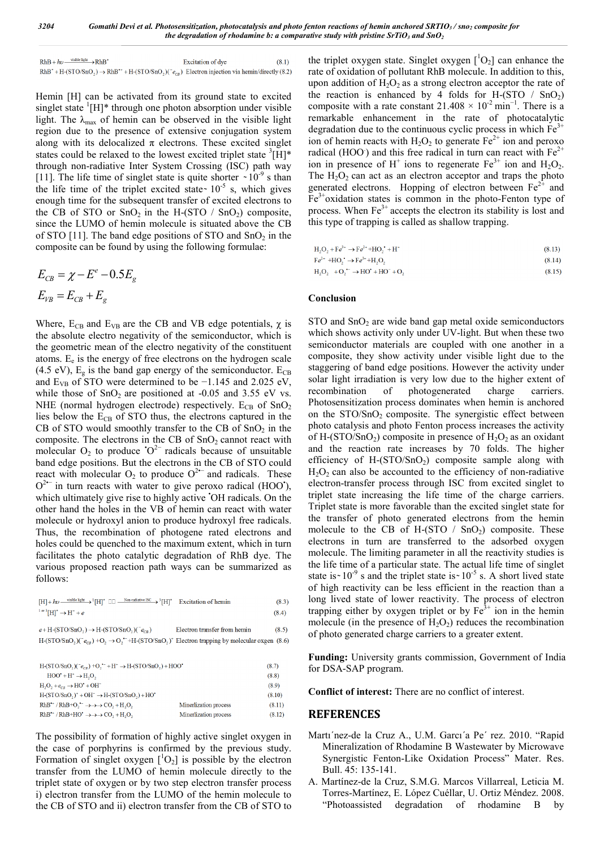| $RhB + h\nu \xrightarrow{visible light} RhB^*$ | Excitation of dye                                                                                                         | (8.1) |
|------------------------------------------------|---------------------------------------------------------------------------------------------------------------------------|-------|
|                                                | $RhB^* + H(\text{STO/SnO}_2) \rightarrow RhB^* + H(\text{STO/SnO}_2)(e_{cg})$ Electron injection via hemin/directly (8.2) |       |

Hemin [H] can be activated from its ground state to excited singlet state  ${}^{1}[H]^{*}$  through one photon absorption under visible light. The  $\lambda_{\text{max}}$  of hemin can be observed in the visible light region due to the presence of extensive conjugation system along with its delocalized  $\pi$  electrons. These excited singlet states could be relaxed to the lowest excited triplet state  ${}^{3}[H]^{*}$ through non-radiative Inter System Crossing (ISC) path way [11]. The life time of singlet state is quite shorter  $\sim 10^{-9}$  s than the life time of the triplet excited state  $10^{-5}$  s, which gives enough time for the subsequent transfer of excited electrons to the CB of STO or  $SnO<sub>2</sub>$  in the H-(STO /  $SnO<sub>2</sub>$ ) composite, since the LUMO of hemin molecule is situated above the CB of STO [11]. The band edge positions of STO and  $SnO<sub>2</sub>$  in the composite can be found by using the following formulae:

$$
E_{CB} = \chi - E^e - 0.5E_g
$$
  

$$
E_{VB} = E_{CB} + E_g
$$

Where,  $E_{CB}$  and  $E_{VB}$  are the CB and VB edge potentials,  $\chi$  is the absolute electro negativity of the semiconductor, which is the geometric mean of the electro negativity of the constituent atoms.  $E_e$  is the energy of free electrons on the hydrogen scale (4.5 eV),  $E_g$  is the band gap energy of the semiconductor.  $E_{CB}$ and  $E_{VB}$  of STO were determined to be  $-1.145$  and 2.025 eV, while those of  $SnO<sub>2</sub>$  are positioned at -0.05 and 3.55 eV vs. NHE (normal hydrogen electrode) respectively.  $E_{CB}$  of  $SnO<sub>2</sub>$ lies below the  $E_{CB}$  of STO thus, the electrons captured in the CB of STO would smoothly transfer to the CB of  $SnO<sub>2</sub>$  in the composite. The electrons in the CB of  $SnO<sub>2</sub>$  cannot react with molecular  $O_2$  to produce  $O^2$  radicals because of unsuitable band edge positions. But the electrons in the CB of STO could react with molecular  $O_2$  to produce  $O^{2-}$  and radicals. These  $O^{2-}$  in turn reacts with water to give peroxo radical (HOO'), which ultimately give rise to highly active 'OH radicals. On the other hand the holes in the VB of hemin can react with water molecule or hydroxyl anion to produce hydroxyl free radicals. Thus, the recombination of photogene rated electrons and holes could be quenched to the maximum extent, which in turn facilitates the photo catalytic degradation of RhB dye. The various proposed reaction path ways can be summarized as follows:

| $[H] + hv \xrightarrow{\text{visible light}} {}^1[H]^* \Box \Box \xrightarrow{\text{Non-radiative ISC}} {}^3[H]^* \quad \text{Excitation of hemin}$ | (8.3) |
|-----------------------------------------------------------------------------------------------------------------------------------------------------|-------|
| $1 \text{ or } 3$ [H] <sup>*</sup> $\rightarrow$ H <sup>+</sup> + e                                                                                 | (8.4) |
|                                                                                                                                                     |       |

 $e + H-(STO/SnO<sub>2</sub>) \rightarrow H-(STO/SnO<sub>2</sub>)(<sup>-</sup>e<sub>CB</sub>)$  ${\rm Electron}$  transfer from hemin  $(8.5)$ H-(STO/SnO<sub>2</sub>)( $e_{CB}$ ) +O<sub>2</sub>  $\rightarrow$  O<sub>2</sub><sup>+</sup> +H-(STO/SnO<sub>2</sub>)<sup>+</sup> Electron trapping by molecular oxgen (8.6)

| $H-(STO/SnO_2)(^+e_{CP})+O_2$ <sup>+</sup> + $H^+ \rightarrow H-(STO/SnO_2)+HOO'$ |                       |        |
|-----------------------------------------------------------------------------------|-----------------------|--------|
| $HOO^{\bullet} + H^+ \rightarrow H_2O_2$                                          |                       | (8.8)  |
| $H, O, +e_{cs} \rightarrow HO^* + OH^-$                                           |                       | (8.9)  |
| $H-(STO/SnO_2)^+ + OH^- \rightarrow H-(STO/SnO_2) + HO'$                          |                       | (8.10) |
| $RhB^* / RhB + O, \rightarrow \rightarrow \rightarrow CO, +H, O,$                 | Minerlization process | (8.11) |
| $RhB^*$ / $RhB+HO^* \rightarrow \rightarrow \rightarrow CO$ , $+H, O$ ,           | Minerlization process | (8.12) |
|                                                                                   |                       |        |

The possibility of formation of highly active singlet oxygen in the case of porphyrins is confirmed by the previous study. Formation of singlet oxygen  $[{}^{1}O_{2}]$  is possible by the electron transfer from the LUMO of hemin molecule directly to the triplet state of oxygen or by two step electron transfer process i) electron transfer from the LUMO of the hemin molecule to the CB of STO and ii) electron transfer from the CB of STO to

the triplet oxygen state. Singlet oxygen  $[{}^{1}O_{2}]$  can enhance the rate of oxidation of pollutant RhB molecule. In addition to this, upon addition of  $H_2O_2$  as a strong electron acceptor the rate of the reaction is enhanced by 4 folds for H-(STO  $/$  SnO<sub>2</sub>) composite with a rate constant  $21.408 \times 10^{-2}$  min<sup>-1</sup>. There is a remarkable enhancement in the rate of photocatalytic degradation due to the continuous cyclic process in which  $Fe<sup>3+</sup>$ ion of hemin reacts with  $H_2O_2$  to generate  $Fe^{2+}$  ion and peroxo radical (HOO) and this free radical in turn can react with  $Fe<sup>2+</sup>$ ion in presence of  $H^+$  ions to regenerate  $Fe^{3+}$  ion and  $H_2O_2$ . The  $H_2O_2$  can act as an electron acceptor and traps the photo generated electrons. Hopping of electron between  $Fe<sup>2+</sup>$  and  $Fe<sup>3+</sup>$ oxidation states is common in the photo-Fenton type of process. When  $Fe<sup>3+</sup>$  accepts the electron its stability is lost and this type of trapping is called as shallow trapping.

$$
H_2O_2 + Fe^{3+} \to Fe^{2+} + HO_2^{\bullet} + H^+ \tag{8.13}
$$

$$
Fe^{-+} + HO_2 \rightarrow Fe^{-+} + H_2O_2 \tag{8.14}
$$
  
H, O, +O, - $\rightarrow$  HO' + HO<sup>-</sup> + O, (8.15)

# **Conclusion**

 $STO$  and  $SnO<sub>2</sub>$  are wide band gap metal oxide semiconductors which shows activity only under UV-light. But when these two semiconductor materials are coupled with one another in a composite, they show activity under visible light due to the staggering of band edge positions. However the activity under solar light irradiation is very low due to the higher extent of recombination of photogenerated charge carriers. Photosensitization process dominates when hemin is anchored on the STO/SnO<sub>2</sub> composite. The synergistic effect between photo catalysis and photo Fenton process increases the activity of H-(STO/SnO<sub>2</sub>) composite in presence of  $H_2O_2$  as an oxidant and the reaction rate increases by 70 folds. The higher efficiency of H- $(STO/SnO<sub>2</sub>)$  composite sample along with  $H<sub>2</sub>O<sub>2</sub>$  can also be accounted to the efficiency of non-radiative electron-transfer process through ISC from excited singlet to triplet state increasing the life time of the charge carriers. Triplet state is more favorable than the excited singlet state for the transfer of photo generated electrons from the hemin molecule to the CB of H-(STO  $/$  SnO<sub>2</sub>) composite. These electrons in turn are transferred to the adsorbed oxygen molecule. The limiting parameter in all the reactivity studies is the life time of a particular state. The actual life time of singlet state is  $\sim 10^{-9}$  s and the triplet state is  $\sim 10^{-5}$  s. A short lived state of high reactivity can be less efficient in the reaction than a long lived state of lower reactivity. The process of electron trapping either by oxygen triplet or by  $Fe<sup>3+</sup>$  ion in the hemin molecule (in the presence of  $H_2O_2$ ) reduces the recombination of photo generated charge carriers to a greater extent.

**Funding:** University grants commission, Government of India for DSA-SAP program.

**Conflict of interest:** There are no conflict of interest.

#### **REFERENCES**

- Martı´nez-de la Cruz A., U.M. Garcı´a Pe´ rez. 2010. "Rapid Mineralization of Rhodamine B Wastewater by Microwave Synergistic Fenton-Like Oxidation Process" Mater. Res. Bull. 45: 135-141.
- A. Martínez-de la Cruz, S.M.G. Marcos Villarreal, Leticia M. Torres-Martínez, E. López Cuéllar, U. Ortiz Méndez. 2008. "Photoassisted degradation of rhodamine B by